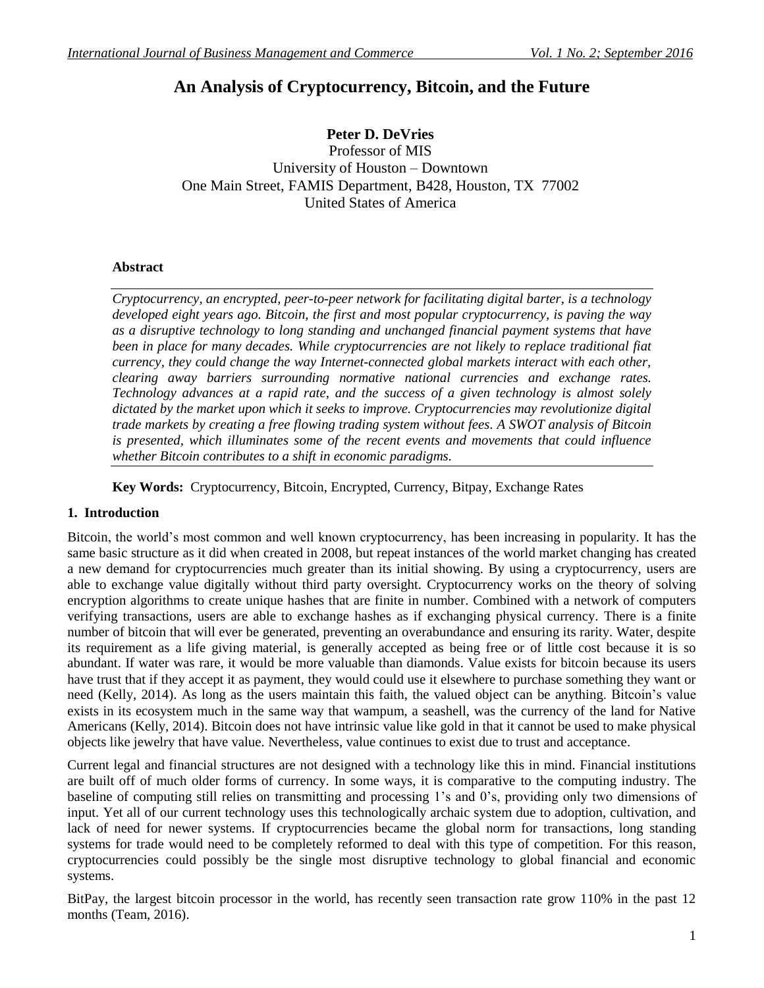# **An Analysis of Cryptocurrency, Bitcoin, and the Future**

## **Peter D. DeVries**

Professor of MIS University of Houston – Downtown One Main Street, FAMIS Department, B428, Houston, TX 77002 United States of America

### **Abstract**

*Cryptocurrency, an encrypted, peer-to-peer network for facilitating digital barter, is a technology developed eight years ago. Bitcoin, the first and most popular cryptocurrency, is paving the way as a disruptive technology to long standing and unchanged financial payment systems that have been in place for many decades. While cryptocurrencies are not likely to replace traditional fiat currency, they could change the way Internet-connected global markets interact with each other, clearing away barriers surrounding normative national currencies and exchange rates. Technology advances at a rapid rate, and the success of a given technology is almost solely dictated by the market upon which it seeks to improve. Cryptocurrencies may revolutionize digital trade markets by creating a free flowing trading system without fees. A SWOT analysis of Bitcoin is presented, which illuminates some of the recent events and movements that could influence whether Bitcoin contributes to a shift in economic paradigms.*

**Key Words:** Cryptocurrency, Bitcoin, Encrypted, Currency, Bitpay, Exchange Rates

## **1. Introduction**

Bitcoin, the world"s most common and well known cryptocurrency, has been increasing in popularity. It has the same basic structure as it did when created in 2008, but repeat instances of the world market changing has created a new demand for cryptocurrencies much greater than its initial showing. By using a cryptocurrency, users are able to exchange value digitally without third party oversight. Cryptocurrency works on the theory of solving encryption algorithms to create unique hashes that are finite in number. Combined with a network of computers verifying transactions, users are able to exchange hashes as if exchanging physical currency. There is a finite number of bitcoin that will ever be generated, preventing an overabundance and ensuring its rarity. Water, despite its requirement as a life giving material, is generally accepted as being free or of little cost because it is so abundant. If water was rare, it would be more valuable than diamonds. Value exists for bitcoin because its users have trust that if they accept it as payment, they would could use it elsewhere to purchase something they want or need (Kelly, 2014). As long as the users maintain this faith, the valued object can be anything. Bitcoin"s value exists in its ecosystem much in the same way that wampum, a seashell, was the currency of the land for Native Americans (Kelly, 2014). Bitcoin does not have intrinsic value like gold in that it cannot be used to make physical objects like jewelry that have value. Nevertheless, value continues to exist due to trust and acceptance.

Current legal and financial structures are not designed with a technology like this in mind. Financial institutions are built off of much older forms of currency. In some ways, it is comparative to the computing industry. The baseline of computing still relies on transmitting and processing 1"s and 0"s, providing only two dimensions of input. Yet all of our current technology uses this technologically archaic system due to adoption, cultivation, and lack of need for newer systems. If cryptocurrencies became the global norm for transactions, long standing systems for trade would need to be completely reformed to deal with this type of competition. For this reason, cryptocurrencies could possibly be the single most disruptive technology to global financial and economic systems.

BitPay, the largest bitcoin processor in the world, has recently seen transaction rate grow 110% in the past 12 months (Team, 2016).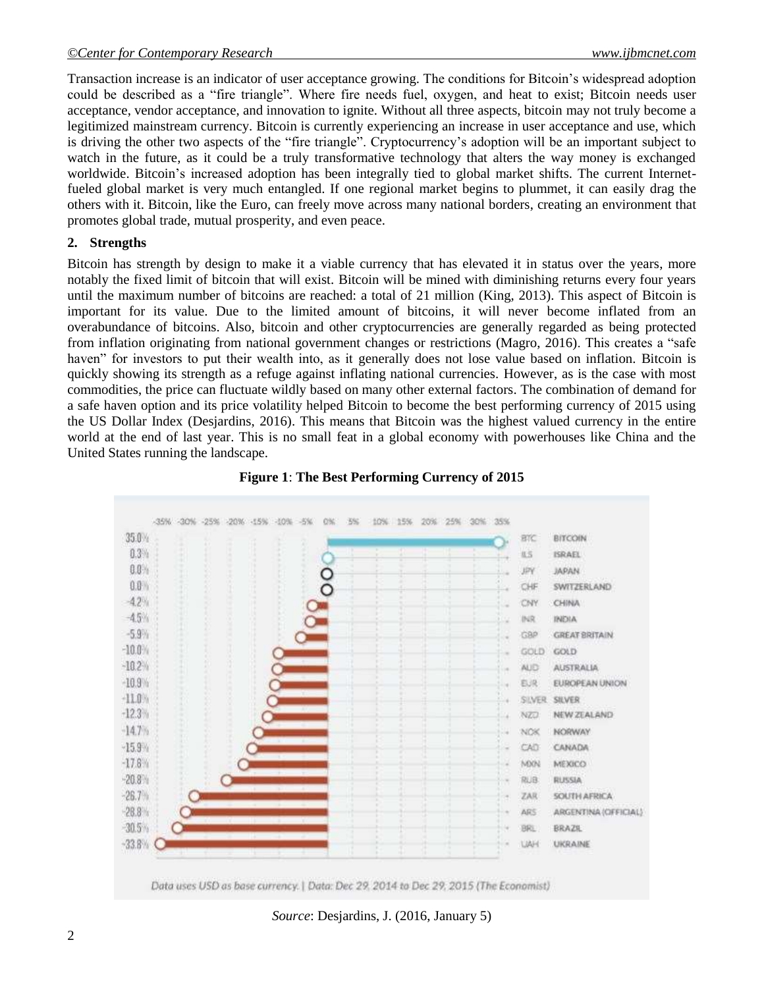Transaction increase is an indicator of user acceptance growing. The conditions for Bitcoin"s widespread adoption could be described as a "fire triangle". Where fire needs fuel, oxygen, and heat to exist; Bitcoin needs user acceptance, vendor acceptance, and innovation to ignite. Without all three aspects, bitcoin may not truly become a legitimized mainstream currency. Bitcoin is currently experiencing an increase in user acceptance and use, which is driving the other two aspects of the "fire triangle". Cryptocurrency"s adoption will be an important subject to watch in the future, as it could be a truly transformative technology that alters the way money is exchanged worldwide. Bitcoin"s increased adoption has been integrally tied to global market shifts. The current Internetfueled global market is very much entangled. If one regional market begins to plummet, it can easily drag the others with it. Bitcoin, like the Euro, can freely move across many national borders, creating an environment that promotes global trade, mutual prosperity, and even peace.

#### **2. Strengths**

Bitcoin has strength by design to make it a viable currency that has elevated it in status over the years, more notably the fixed limit of bitcoin that will exist. Bitcoin will be mined with diminishing returns every four years until the maximum number of bitcoins are reached: a total of 21 million (King, 2013). This aspect of Bitcoin is important for its value. Due to the limited amount of bitcoins, it will never become inflated from an overabundance of bitcoins. Also, bitcoin and other cryptocurrencies are generally regarded as being protected from inflation originating from national government changes or restrictions (Magro, 2016). This creates a "safe haven" for investors to put their wealth into, as it generally does not lose value based on inflation. Bitcoin is quickly showing its strength as a refuge against inflating national currencies. However, as is the case with most commodities, the price can fluctuate wildly based on many other external factors. The combination of demand for a safe haven option and its price volatility helped Bitcoin to become the best performing currency of 2015 using the US Dollar Index (Desjardins, 2016). This means that Bitcoin was the highest valued currency in the entire world at the end of last year. This is no small feat in a global economy with powerhouses like China and the United States running the landscape.



## **Figure 1**: **The Best Performing Currency of 2015**

*Source*: Desjardins, J. (2016, January 5)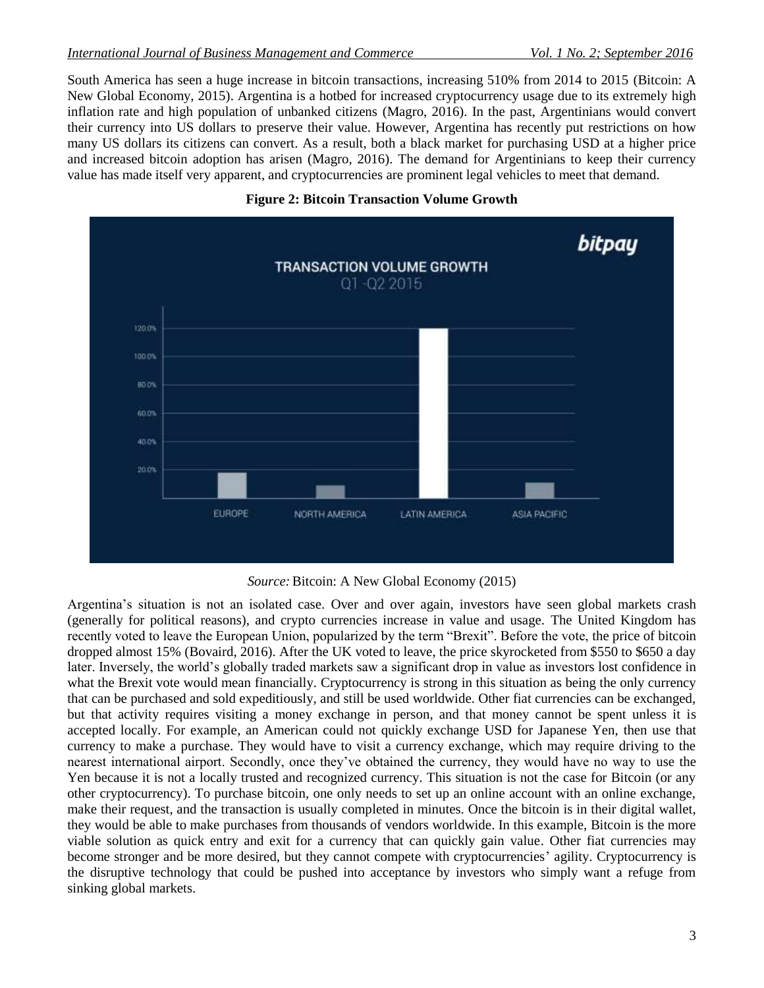South America has seen a huge increase in bitcoin transactions, increasing 510% from 2014 to 2015 (Bitcoin: A New Global Economy, 2015). Argentina is a hotbed for increased cryptocurrency usage due to its extremely high inflation rate and high population of unbanked citizens (Magro, 2016). In the past, Argentinians would convert their currency into US dollars to preserve their value. However, Argentina has recently put restrictions on how many US dollars its citizens can convert. As a result, both a black market for purchasing USD at a higher price and increased bitcoin adoption has arisen (Magro, 2016). The demand for Argentinians to keep their currency value has made itself very apparent, and cryptocurrencies are prominent legal vehicles to meet that demand.





*Source:*Bitcoin: A New Global Economy (2015)

Argentina"s situation is not an isolated case. Over and over again, investors have seen global markets crash (generally for political reasons), and crypto currencies increase in value and usage. The United Kingdom has recently voted to leave the European Union, popularized by the term "Brexit". Before the vote, the price of bitcoin dropped almost 15% (Bovaird, 2016). After the UK voted to leave, the price skyrocketed from \$550 to \$650 a day later. Inversely, the world"s globally traded markets saw a significant drop in value as investors lost confidence in what the Brexit vote would mean financially. Cryptocurrency is strong in this situation as being the only currency that can be purchased and sold expeditiously, and still be used worldwide. Other fiat currencies can be exchanged, but that activity requires visiting a money exchange in person, and that money cannot be spent unless it is accepted locally. For example, an American could not quickly exchange USD for Japanese Yen, then use that currency to make a purchase. They would have to visit a currency exchange, which may require driving to the nearest international airport. Secondly, once they"ve obtained the currency, they would have no way to use the Yen because it is not a locally trusted and recognized currency. This situation is not the case for Bitcoin (or any other cryptocurrency). To purchase bitcoin, one only needs to set up an online account with an online exchange, make their request, and the transaction is usually completed in minutes. Once the bitcoin is in their digital wallet, they would be able to make purchases from thousands of vendors worldwide. In this example, Bitcoin is the more viable solution as quick entry and exit for a currency that can quickly gain value. Other fiat currencies may become stronger and be more desired, but they cannot compete with cryptocurrencies' agility. Cryptocurrency is the disruptive technology that could be pushed into acceptance by investors who simply want a refuge from sinking global markets.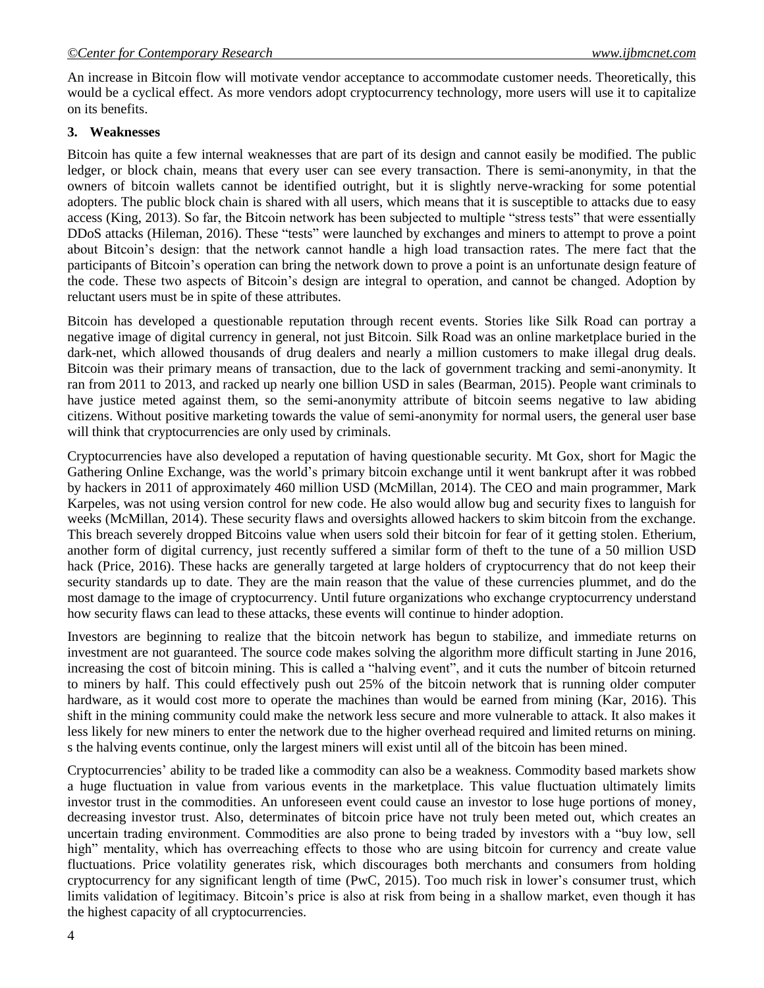An increase in Bitcoin flow will motivate vendor acceptance to accommodate customer needs. Theoretically, this would be a cyclical effect. As more vendors adopt cryptocurrency technology, more users will use it to capitalize on its benefits.

#### **3. Weaknesses**

Bitcoin has quite a few internal weaknesses that are part of its design and cannot easily be modified. The public ledger, or block chain, means that every user can see every transaction. There is semi-anonymity, in that the owners of bitcoin wallets cannot be identified outright, but it is slightly nerve-wracking for some potential adopters. The public block chain is shared with all users, which means that it is susceptible to attacks due to easy access (King, 2013). So far, the Bitcoin network has been subjected to multiple "stress tests" that were essentially DDoS attacks (Hileman, 2016). These "tests" were launched by exchanges and miners to attempt to prove a point about Bitcoin"s design: that the network cannot handle a high load transaction rates. The mere fact that the participants of Bitcoin's operation can bring the network down to prove a point is an unfortunate design feature of the code. These two aspects of Bitcoin"s design are integral to operation, and cannot be changed. Adoption by reluctant users must be in spite of these attributes.

Bitcoin has developed a questionable reputation through recent events. Stories like Silk Road can portray a negative image of digital currency in general, not just Bitcoin. Silk Road was an online marketplace buried in the dark-net, which allowed thousands of drug dealers and nearly a million customers to make illegal drug deals. Bitcoin was their primary means of transaction, due to the lack of government tracking and semi-anonymity. It ran from 2011 to 2013, and racked up nearly one billion USD in sales (Bearman, 2015). People want criminals to have justice meted against them, so the semi-anonymity attribute of bitcoin seems negative to law abiding citizens. Without positive marketing towards the value of semi-anonymity for normal users, the general user base will think that cryptocurrencies are only used by criminals.

Cryptocurrencies have also developed a reputation of having questionable security. Mt Gox, short for Magic the Gathering Online Exchange, was the world"s primary bitcoin exchange until it went bankrupt after it was robbed by hackers in 2011 of approximately 460 million USD (McMillan, 2014). The CEO and main programmer, Mark Karpeles, was not using version control for new code. He also would allow bug and security fixes to languish for weeks (McMillan, 2014). These security flaws and oversights allowed hackers to skim bitcoin from the exchange. This breach severely dropped Bitcoins value when users sold their bitcoin for fear of it getting stolen. Etherium, another form of digital currency, just recently suffered a similar form of theft to the tune of a 50 million USD hack (Price, 2016). These hacks are generally targeted at large holders of cryptocurrency that do not keep their security standards up to date. They are the main reason that the value of these currencies plummet, and do the most damage to the image of cryptocurrency. Until future organizations who exchange cryptocurrency understand how security flaws can lead to these attacks, these events will continue to hinder adoption.

Investors are beginning to realize that the bitcoin network has begun to stabilize, and immediate returns on investment are not guaranteed. The source code makes solving the algorithm more difficult starting in June 2016, increasing the cost of bitcoin mining. This is called a "halving event", and it cuts the number of bitcoin returned to miners by half. This could effectively push out 25% of the bitcoin network that is running older computer hardware, as it would cost more to operate the machines than would be earned from mining (Kar, 2016). This shift in the mining community could make the network less secure and more vulnerable to attack. It also makes it less likely for new miners to enter the network due to the higher overhead required and limited returns on mining. s the halving events continue, only the largest miners will exist until all of the bitcoin has been mined.

Cryptocurrencies" ability to be traded like a commodity can also be a weakness. Commodity based markets show a huge fluctuation in value from various events in the marketplace. This value fluctuation ultimately limits investor trust in the commodities. An unforeseen event could cause an investor to lose huge portions of money, decreasing investor trust. Also, determinates of bitcoin price have not truly been meted out, which creates an uncertain trading environment. Commodities are also prone to being traded by investors with a "buy low, sell high" mentality, which has overreaching effects to those who are using bitcoin for currency and create value fluctuations. Price volatility generates risk, which discourages both merchants and consumers from holding cryptocurrency for any significant length of time (PwC, 2015). Too much risk in lower"s consumer trust, which limits validation of legitimacy. Bitcoin"s price is also at risk from being in a shallow market, even though it has the highest capacity of all cryptocurrencies.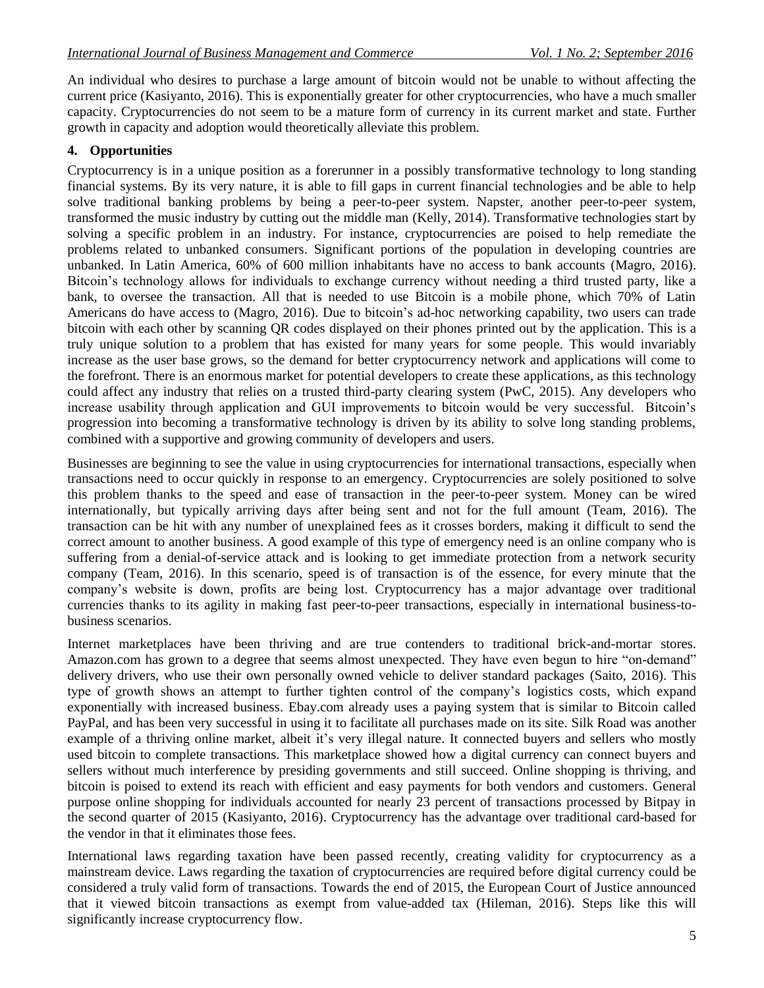An individual who desires to purchase a large amount of bitcoin would not be unable to without affecting the current price (Kasiyanto, 2016). This is exponentially greater for other cryptocurrencies, who have a much smaller capacity. Cryptocurrencies do not seem to be a mature form of currency in its current market and state. Further growth in capacity and adoption would theoretically alleviate this problem.

## **4. Opportunities**

Cryptocurrency is in a unique position as a forerunner in a possibly transformative technology to long standing financial systems. By its very nature, it is able to fill gaps in current financial technologies and be able to help solve traditional banking problems by being a peer-to-peer system. Napster, another peer-to-peer system, transformed the music industry by cutting out the middle man (Kelly, 2014). Transformative technologies start by solving a specific problem in an industry. For instance, cryptocurrencies are poised to help remediate the problems related to unbanked consumers. Significant portions of the population in developing countries are unbanked. In Latin America, 60% of 600 million inhabitants have no access to bank accounts (Magro, 2016). Bitcoin"s technology allows for individuals to exchange currency without needing a third trusted party, like a bank, to oversee the transaction. All that is needed to use Bitcoin is a mobile phone, which 70% of Latin Americans do have access to (Magro, 2016). Due to bitcoin"s ad-hoc networking capability, two users can trade bitcoin with each other by scanning QR codes displayed on their phones printed out by the application. This is a truly unique solution to a problem that has existed for many years for some people. This would invariably increase as the user base grows, so the demand for better cryptocurrency network and applications will come to the forefront. There is an enormous market for potential developers to create these applications, as this technology could affect any industry that relies on a trusted third-party clearing system (PwC, 2015). Any developers who increase usability through application and GUI improvements to bitcoin would be very successful. Bitcoin"s progression into becoming a transformative technology is driven by its ability to solve long standing problems, combined with a supportive and growing community of developers and users.

Businesses are beginning to see the value in using cryptocurrencies for international transactions, especially when transactions need to occur quickly in response to an emergency. Cryptocurrencies are solely positioned to solve this problem thanks to the speed and ease of transaction in the peer-to-peer system. Money can be wired internationally, but typically arriving days after being sent and not for the full amount (Team, 2016). The transaction can be hit with any number of unexplained fees as it crosses borders, making it difficult to send the correct amount to another business. A good example of this type of emergency need is an online company who is suffering from a denial-of-service attack and is looking to get immediate protection from a network security company (Team, 2016). In this scenario, speed is of transaction is of the essence, for every minute that the company"s website is down, profits are being lost. Cryptocurrency has a major advantage over traditional currencies thanks to its agility in making fast peer-to-peer transactions, especially in international business-tobusiness scenarios.

Internet marketplaces have been thriving and are true contenders to traditional brick-and-mortar stores. Amazon.com has grown to a degree that seems almost unexpected. They have even begun to hire "on-demand" delivery drivers, who use their own personally owned vehicle to deliver standard packages (Saito, 2016). This type of growth shows an attempt to further tighten control of the company"s logistics costs, which expand exponentially with increased business. Ebay.com already uses a paying system that is similar to Bitcoin called PayPal, and has been very successful in using it to facilitate all purchases made on its site. Silk Road was another example of a thriving online market, albeit it's very illegal nature. It connected buyers and sellers who mostly used bitcoin to complete transactions. This marketplace showed how a digital currency can connect buyers and sellers without much interference by presiding governments and still succeed. Online shopping is thriving, and bitcoin is poised to extend its reach with efficient and easy payments for both vendors and customers. General purpose online shopping for individuals accounted for nearly 23 percent of transactions processed by Bitpay in the second quarter of 2015 (Kasiyanto, 2016). Cryptocurrency has the advantage over traditional card-based for the vendor in that it eliminates those fees.

International laws regarding taxation have been passed recently, creating validity for cryptocurrency as a mainstream device. Laws regarding the taxation of cryptocurrencies are required before digital currency could be considered a truly valid form of transactions. Towards the end of 2015, the European Court of Justice announced that it viewed bitcoin transactions as exempt from value-added tax (Hileman, 2016). Steps like this will significantly increase cryptocurrency flow.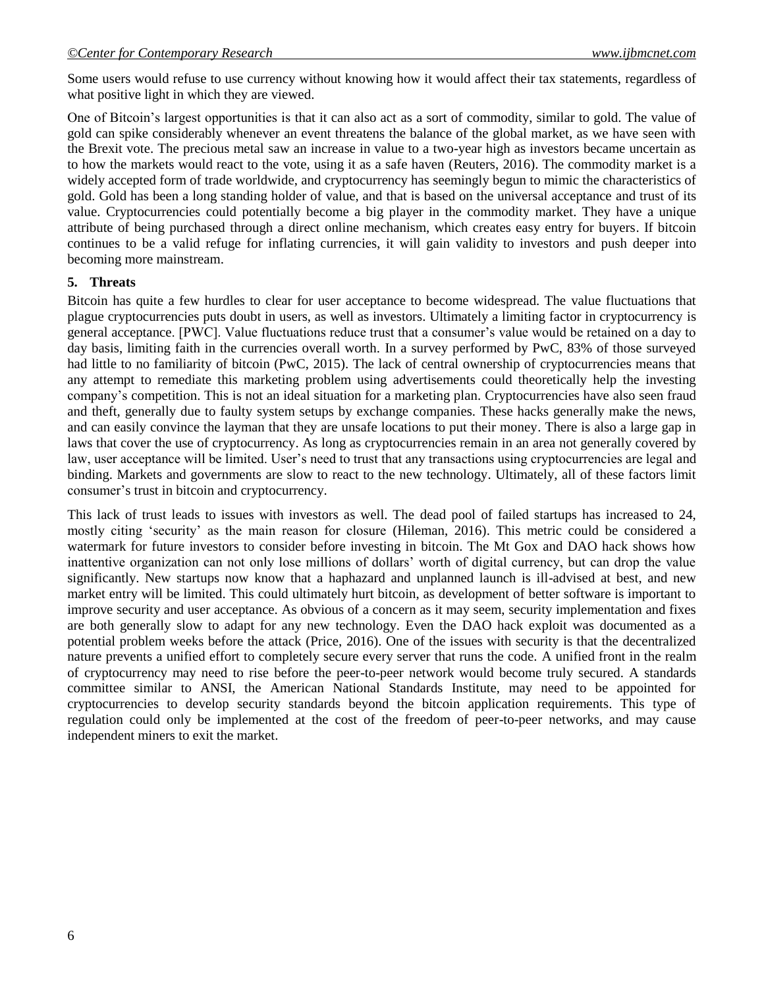Some users would refuse to use currency without knowing how it would affect their tax statements, regardless of what positive light in which they are viewed.

One of Bitcoin"s largest opportunities is that it can also act as a sort of commodity, similar to gold. The value of gold can spike considerably whenever an event threatens the balance of the global market, as we have seen with the Brexit vote. The precious metal saw an increase in value to a two-year high as investors became uncertain as to how the markets would react to the vote, using it as a safe haven (Reuters, 2016). The commodity market is a widely accepted form of trade worldwide, and cryptocurrency has seemingly begun to mimic the characteristics of gold. Gold has been a long standing holder of value, and that is based on the universal acceptance and trust of its value. Cryptocurrencies could potentially become a big player in the commodity market. They have a unique attribute of being purchased through a direct online mechanism, which creates easy entry for buyers. If bitcoin continues to be a valid refuge for inflating currencies, it will gain validity to investors and push deeper into becoming more mainstream.

#### **5. Threats**

Bitcoin has quite a few hurdles to clear for user acceptance to become widespread. The value fluctuations that plague cryptocurrencies puts doubt in users, as well as investors. Ultimately a limiting factor in cryptocurrency is general acceptance. [PWC]. Value fluctuations reduce trust that a consumer's value would be retained on a day to day basis, limiting faith in the currencies overall worth. In a survey performed by PwC, 83% of those surveyed had little to no familiarity of bitcoin (PwC, 2015). The lack of central ownership of cryptocurrencies means that any attempt to remediate this marketing problem using advertisements could theoretically help the investing company"s competition. This is not an ideal situation for a marketing plan. Cryptocurrencies have also seen fraud and theft, generally due to faulty system setups by exchange companies. These hacks generally make the news, and can easily convince the layman that they are unsafe locations to put their money. There is also a large gap in laws that cover the use of cryptocurrency. As long as cryptocurrencies remain in an area not generally covered by law, user acceptance will be limited. User's need to trust that any transactions using cryptocurrencies are legal and binding. Markets and governments are slow to react to the new technology. Ultimately, all of these factors limit consumer"s trust in bitcoin and cryptocurrency.

This lack of trust leads to issues with investors as well. The dead pool of failed startups has increased to 24, mostly citing "security" as the main reason for closure (Hileman, 2016). This metric could be considered a watermark for future investors to consider before investing in bitcoin. The Mt Gox and DAO hack shows how inattentive organization can not only lose millions of dollars" worth of digital currency, but can drop the value significantly. New startups now know that a haphazard and unplanned launch is ill-advised at best, and new market entry will be limited. This could ultimately hurt bitcoin, as development of better software is important to improve security and user acceptance. As obvious of a concern as it may seem, security implementation and fixes are both generally slow to adapt for any new technology. Even the DAO hack exploit was documented as a potential problem weeks before the attack (Price, 2016). One of the issues with security is that the decentralized nature prevents a unified effort to completely secure every server that runs the code. A unified front in the realm of cryptocurrency may need to rise before the peer-to-peer network would become truly secured. A standards committee similar to ANSI, the American National Standards Institute, may need to be appointed for cryptocurrencies to develop security standards beyond the bitcoin application requirements. This type of regulation could only be implemented at the cost of the freedom of peer-to-peer networks, and may cause independent miners to exit the market.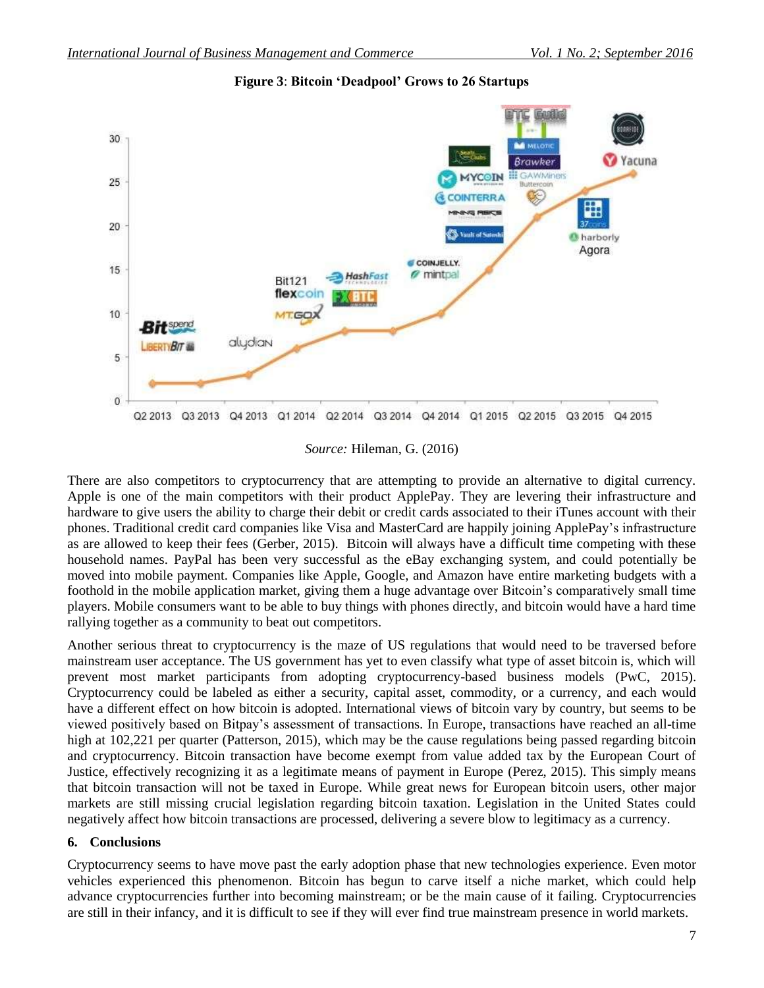

**Figure 3**: **Bitcoin 'Deadpool' Grows to 26 Startups**

*Source:* Hileman, G. (2016)

There are also competitors to cryptocurrency that are attempting to provide an alternative to digital currency. Apple is one of the main competitors with their product ApplePay. They are levering their infrastructure and hardware to give users the ability to charge their debit or credit cards associated to their iTunes account with their phones. Traditional credit card companies like Visa and MasterCard are happily joining ApplePay"s infrastructure as are allowed to keep their fees (Gerber, 2015). Bitcoin will always have a difficult time competing with these household names. PayPal has been very successful as the eBay exchanging system, and could potentially be moved into mobile payment. Companies like Apple, Google, and Amazon have entire marketing budgets with a foothold in the mobile application market, giving them a huge advantage over Bitcoin"s comparatively small time players. Mobile consumers want to be able to buy things with phones directly, and bitcoin would have a hard time rallying together as a community to beat out competitors.

Another serious threat to cryptocurrency is the maze of US regulations that would need to be traversed before mainstream user acceptance. The US government has yet to even classify what type of asset bitcoin is, which will prevent most market participants from adopting cryptocurrency-based business models (PwC, 2015). Cryptocurrency could be labeled as either a security, capital asset, commodity, or a currency, and each would have a different effect on how bitcoin is adopted. International views of bitcoin vary by country, but seems to be viewed positively based on Bitpay"s assessment of transactions. In Europe, transactions have reached an all-time high at 102,221 per quarter (Patterson, 2015), which may be the cause regulations being passed regarding bitcoin and cryptocurrency. Bitcoin transaction have become exempt from value added tax by the European Court of Justice, effectively recognizing it as a legitimate means of payment in Europe (Perez, 2015). This simply means that bitcoin transaction will not be taxed in Europe. While great news for European bitcoin users, other major markets are still missing crucial legislation regarding bitcoin taxation. Legislation in the United States could negatively affect how bitcoin transactions are processed, delivering a severe blow to legitimacy as a currency.

## **6. Conclusions**

Cryptocurrency seems to have move past the early adoption phase that new technologies experience. Even motor vehicles experienced this phenomenon. Bitcoin has begun to carve itself a niche market, which could help advance cryptocurrencies further into becoming mainstream; or be the main cause of it failing. Cryptocurrencies are still in their infancy, and it is difficult to see if they will ever find true mainstream presence in world markets.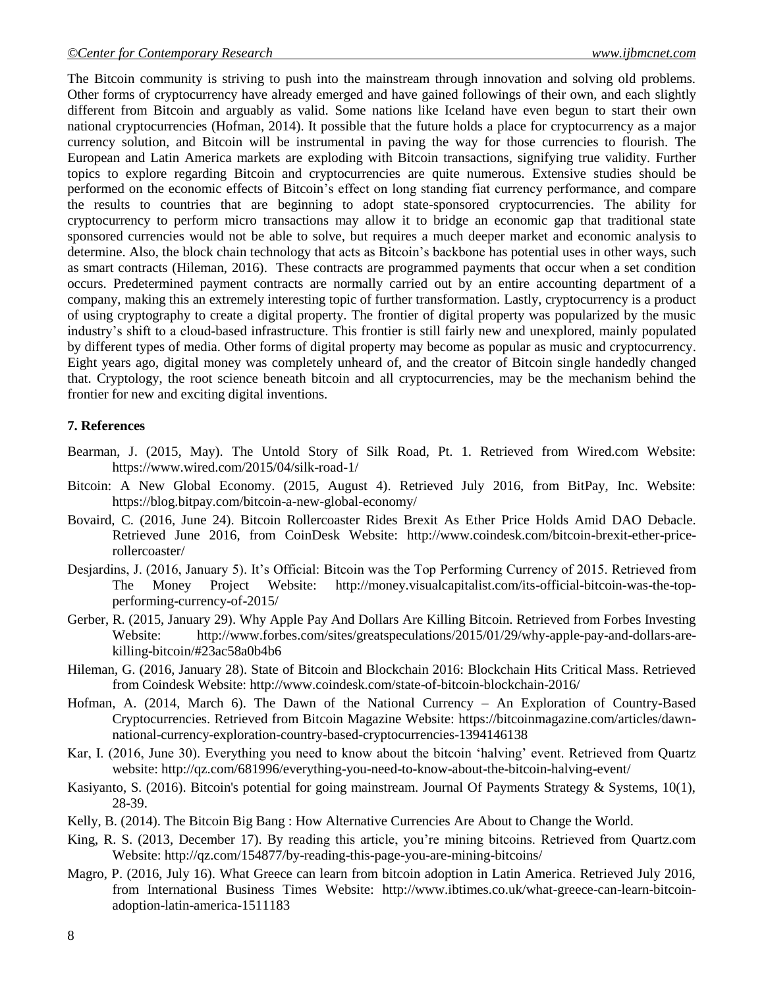The Bitcoin community is striving to push into the mainstream through innovation and solving old problems. Other forms of cryptocurrency have already emerged and have gained followings of their own, and each slightly different from Bitcoin and arguably as valid. Some nations like Iceland have even begun to start their own national cryptocurrencies (Hofman, 2014). It possible that the future holds a place for cryptocurrency as a major currency solution, and Bitcoin will be instrumental in paving the way for those currencies to flourish. The European and Latin America markets are exploding with Bitcoin transactions, signifying true validity. Further topics to explore regarding Bitcoin and cryptocurrencies are quite numerous. Extensive studies should be performed on the economic effects of Bitcoin"s effect on long standing fiat currency performance, and compare the results to countries that are beginning to adopt state-sponsored cryptocurrencies. The ability for cryptocurrency to perform micro transactions may allow it to bridge an economic gap that traditional state sponsored currencies would not be able to solve, but requires a much deeper market and economic analysis to determine. Also, the block chain technology that acts as Bitcoin's backbone has potential uses in other ways, such as smart contracts (Hileman, 2016). These contracts are programmed payments that occur when a set condition occurs. Predetermined payment contracts are normally carried out by an entire accounting department of a company, making this an extremely interesting topic of further transformation. Lastly, cryptocurrency is a product of using cryptography to create a digital property. The frontier of digital property was popularized by the music industry"s shift to a cloud-based infrastructure. This frontier is still fairly new and unexplored, mainly populated by different types of media. Other forms of digital property may become as popular as music and cryptocurrency. Eight years ago, digital money was completely unheard of, and the creator of Bitcoin single handedly changed that. Cryptology, the root science beneath bitcoin and all cryptocurrencies, may be the mechanism behind the frontier for new and exciting digital inventions.

#### **7. References**

- Bearman, J. (2015, May). The Untold Story of Silk Road, Pt. 1. Retrieved from Wired.com Website: https://www.wired.com/2015/04/silk-road-1/
- Bitcoin: A New Global Economy. (2015, August 4). Retrieved July 2016, from BitPay, Inc. Website: https://blog.bitpay.com/bitcoin-a-new-global-economy/
- Bovaird, C. (2016, June 24). Bitcoin Rollercoaster Rides Brexit As Ether Price Holds Amid DAO Debacle. Retrieved June 2016, from CoinDesk Website: http://www.coindesk.com/bitcoin-brexit-ether-pricerollercoaster/
- Desjardins, J. (2016, January 5). It"s Official: Bitcoin was the Top Performing Currency of 2015. Retrieved from The Money Project Website: http://money.visualcapitalist.com/its-official-bitcoin-was-the-topperforming-currency-of-2015/
- Gerber, R. (2015, January 29). Why Apple Pay And Dollars Are Killing Bitcoin. Retrieved from Forbes Investing Website: http://www.forbes.com/sites/greatspeculations/2015/01/29/why-apple-pay-and-dollars-arekilling-bitcoin/#23ac58a0b4b6
- Hileman, G. (2016, January 28). State of Bitcoin and Blockchain 2016: Blockchain Hits Critical Mass. Retrieved from Coindesk Website: http://www.coindesk.com/state-of-bitcoin-blockchain-2016/
- Hofman, A. (2014, March 6). The Dawn of the National Currency An Exploration of Country-Based Cryptocurrencies. Retrieved from Bitcoin Magazine Website: https://bitcoinmagazine.com/articles/dawnnational-currency-exploration-country-based-cryptocurrencies-1394146138
- Kar, I. (2016, June 30). Everything you need to know about the bitcoin "halving" event. Retrieved from Quartz website: http://qz.com/681996/everything-you-need-to-know-about-the-bitcoin-halving-event/
- Kasiyanto, S. (2016). Bitcoin's potential for going mainstream. Journal Of Payments Strategy & Systems, 10(1), 28-39.
- Kelly, B. (2014). The Bitcoin Big Bang : How Alternative Currencies Are About to Change the World.
- King, R. S. (2013, December 17). By reading this article, you"re mining bitcoins. Retrieved from Quartz.com Website: http://qz.com/154877/by-reading-this-page-you-are-mining-bitcoins/
- Magro, P. (2016, July 16). What Greece can learn from bitcoin adoption in Latin America. Retrieved July 2016, from International Business Times Website: http://www.ibtimes.co.uk/what-greece-can-learn-bitcoinadoption-latin-america-1511183